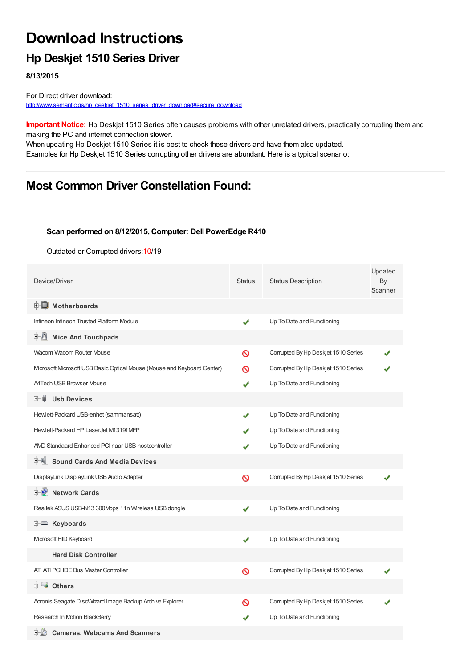# **Download Instructions**

## **Hp Deskjet 1510 Series Driver**

**8/13/2015**

For Direct driver download: [http://www.semantic.gs/hp\\_deskjet\\_1510\\_series\\_driver\\_download#secure\\_download](http://www.semantic.gs/hp_deskjet_1510_series_driver_download#secure_download)

**Important Notice:** Hp Deskjet 1510 Series often causes problems with other unrelated drivers, practically corrupting them and making the PC and internet connection slower.

When updating Hp Deskjet 1510 Series it is best to check these drivers and have them also updated. Examples for Hp Deskjet 1510 Series corrupting other drivers are abundant. Here is a typical scenario:

## **Most Common Driver Constellation Found:**

#### **Scan performed on 8/12/2015, Computer: Dell PowerEdge R410**

Outdated or Corrupted drivers:10/19

| Device/Driver                                                         | <b>Status</b> | <b>Status Description</b>           | Updated<br>By<br>Scanner |
|-----------------------------------------------------------------------|---------------|-------------------------------------|--------------------------|
| <b>E</b> Motherboards                                                 |               |                                     |                          |
| Infineon Infineon Trusted Platform Module                             | ✔             | Up To Date and Functioning          |                          |
| E U<br><b>Mice And Touchpads</b>                                      |               |                                     |                          |
| Wacom Wacom Router Mouse                                              | Ø             | Corrupted By Hp Deskjet 1510 Series |                          |
| Mcrosoft Mcrosoft USB Basic Optical Mouse (Mouse and Keyboard Center) | ര             | Corrupted By Hp Deskjet 1510 Series |                          |
| <b>A4Tech USB Browser Mouse</b>                                       | ✔             | Up To Date and Functioning          |                          |
| œ− ⊌<br><b>Usb Devices</b>                                            |               |                                     |                          |
| Hewlett-Packard USB-enhet (sammansatt)                                |               | Up To Date and Functioning          |                          |
| Hewlett-Packard HP LaserJet M1319f MFP                                |               | Up To Date and Functioning          |                          |
| AMD Standaard Enhanced PCI naar USB-hostcontroller                    |               | Up To Date and Functioning          |                          |
| <b>Sound Cards And Media Devices</b>                                  |               |                                     |                          |
| DisplayLink DisplayLink USB Audio Adapter                             | Ø             | Corrupted By Hp Deskjet 1510 Series |                          |
| <b>E D</b> Network Cards                                              |               |                                     |                          |
| Realtek ASUS USB-N13 300Mbps 11n Wireless USB dongle                  | ✔             | Up To Date and Functioning          |                          |
| E Keyboards                                                           |               |                                     |                          |
| Microsoft HID Keyboard                                                | ✔             | Up To Date and Functioning          |                          |
| <b>Hard Disk Controller</b>                                           |               |                                     |                          |
| ATI ATI PCI IDE Bus Master Controller                                 | Ø             | Corrupted By Hp Deskjet 1510 Series |                          |
| 白一■ Others                                                            |               |                                     |                          |
| Acronis Seagate DiscWizard Image Backup Archive Explorer              | Ø             | Corrupted By Hp Deskjet 1510 Series |                          |
| Research In Motion BlackBerry                                         | ✔             | Up To Date and Functioning          |                          |
| <b>Cameras, Webcams And Scanners</b><br>田山の                           |               |                                     |                          |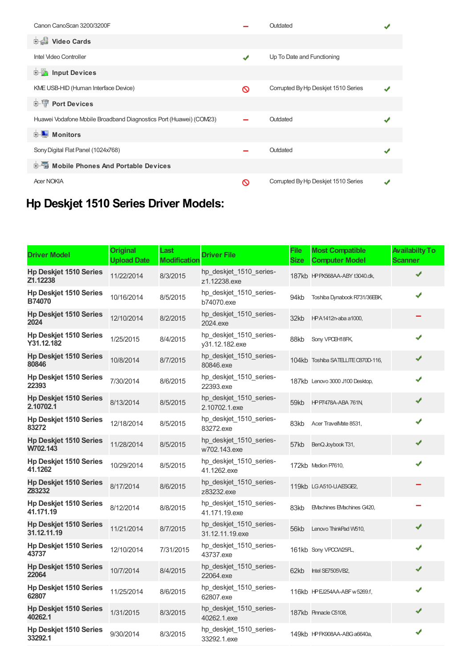| Canon CanoScan 3200/3200F                                          |               | Outdated                            |  |
|--------------------------------------------------------------------|---------------|-------------------------------------|--|
| <b>Dideo Cards</b>                                                 |               |                                     |  |
| Intel Video Controller                                             | $\mathcal{L}$ | Up To Date and Functioning          |  |
| <b>E</b> Input Devices                                             |               |                                     |  |
| KME USB-HID (Human Interface Device)                               | ര             | Corrupted By Hp Deskjet 1510 Series |  |
| <b>E-</b> Port Devices                                             |               |                                     |  |
| Huawei Vodafone Mobile Broadband Diagnostics Port (Huawei) (COM23) |               | Outdated                            |  |
| <b>E</b> Monitors                                                  |               |                                     |  |
| Sony Digital Flat Panel (1024x768)                                 |               | Outdated                            |  |
| 中国 Mobile Phones And Portable Devices                              |               |                                     |  |
| <b>Acer NOKIA</b>                                                  | ര             | Corrupted By Hp Deskjet 1510 Series |  |

## **Hp Deskjet 1510 Series Driver Models:**

| <b>Driver Model</b>                            | <b>Original</b><br><b>Upload Date</b> | Last<br><b>Modification</b> | <b>Driver File</b>                         | File<br><b>Size</b> | <b>Most Compatible</b><br><b>Computer Model</b> | <b>Availabilty To</b><br>Scanner |
|------------------------------------------------|---------------------------------------|-----------------------------|--------------------------------------------|---------------------|-------------------------------------------------|----------------------------------|
| <b>Hp Deskjet 1510 Series</b><br>Z1.12238      | 11/22/2014                            | 8/3/2015                    | hp_deskjet_1510_series-<br>z1.12238.exe    |                     | 187kb HPPX568AA-ABY t3040.dk,                   | J                                |
| <b>Hp Deskjet 1510 Series</b><br><b>B74070</b> | 10/16/2014                            | 8/5/2015                    | hp deskjet 1510 series-<br>b74070.exe      | 94kb                | Toshiba Dynabook R731/36EBK,                    | ✔                                |
| <b>Hp Deskjet 1510 Series</b><br>2024          | 12/10/2014                            | 8/2/2015                    | hp deskjet 1510 series-<br>2024.exe        | 32kb                | HPA1412n-aba a1000,                             |                                  |
| <b>Hp Deskjet 1510 Series</b><br>Y31.12.182    | 1/25/2015                             | 8/4/2015                    | hp_deskjet_1510_series-<br>y31.12.182.exe  | 88kb                | Sony VPCEH18FK,                                 | J                                |
| <b>Hp Deskjet 1510 Series</b><br>80846         | 10/8/2014                             | 8/7/2015                    | hp deskjet 1510 series-<br>80846.exe       |                     | 104kb Toshiba SATELLITE C870D-116,              | ✔                                |
| <b>Hp Deskjet 1510 Series</b><br>22393         | 7/30/2014                             | 8/6/2015                    | hp_deskjet_1510_series-<br>22393.exe       |                     | 187kb Lenovo 3000 J100 Desktop,                 | ✔                                |
| <b>Hp Deskjet 1510 Series</b><br>2.10702.1     | 8/13/2014                             | 8/5/2015                    | hp_deskjet_1510_series-<br>2.10702.1.exe   | 59kb                | <b>HP P7478A-ABA 761N,</b>                      | ✔                                |
| <b>Hp Deskjet 1510 Series</b><br>83272         | 12/18/2014                            | 8/5/2015                    | hp deskjet 1510 series-<br>83272.exe       | 83kb                | Acer TravelMate 8531,                           |                                  |
| <b>Hp Deskjet 1510 Series</b><br>W702.143      | 11/28/2014                            | 8/5/2015                    | hp deskjet 1510 series-<br>w702.143.exe    | 57kb                | BenQ Joybook T31,                               |                                  |
| <b>Hp Deskjet 1510 Series</b><br>41.1262       | 10/29/2014                            | 8/5/2015                    | hp_deskjet_1510_series-<br>41.1262.exe     |                     | 172kb Medion P7610,                             |                                  |
| <b>Hp Deskjet 1510 Series</b><br>Z83232        | 8/17/2014                             | 8/6/2015                    | hp_deskjet_1510_series-<br>z83232.exe      |                     | 119kb LGA510-U.AESGE2,                          |                                  |
| <b>Hp Deskjet 1510 Series</b><br>41.171.19     | 8/12/2014                             | 8/8/2015                    | hp_deskjet_1510_series-<br>41.171.19.exe   | 83kb                | EMachines EMachines G420,                       |                                  |
| <b>Hp Deskjet 1510 Series</b><br>31.12.11.19   | 11/21/2014                            | 8/7/2015                    | hp deskjet 1510 series-<br>31.12.11.19.exe | 56kb                | Lenovo ThinkPad W510,                           | ✔                                |
| <b>Hp Deskjet 1510 Series</b><br>43737         | 12/10/2014                            | 7/31/2015                   | hp deskjet 1510 series-<br>43737.exe       |                     | 161kb Sony VPCCW25FL,                           | ✔                                |
| <b>Hp Deskjet 1510 Series</b><br>22064         | 10/7/2014                             | 8/4/2015                    | hp_deskjet_1510_series-<br>22064.exe       | 62kb                | Intel SE7505VB2,                                | ✔                                |
| <b>Hp Deskjet 1510 Series</b><br>62807         | 11/25/2014                            | 8/6/2015                    | hp deskjet 1510 series-<br>62807.exe       |                     | 116kb HPEJ254AA-ABF w 5269.f,                   | ✔                                |
| <b>Hp Deskjet 1510 Series</b><br>40262.1       | 1/31/2015                             | 8/3/2015                    | hp deskjet 1510 series-<br>40262.1.exe     |                     | 187kb Pinnacle C5108,                           | ✔                                |
| <b>Hp Deskjet 1510 Series</b><br>33292.1       | 9/30/2014                             | 8/3/2015                    | hp_deskjet_1510_series-<br>33292.1.exe     |                     | 149kb HP FK908AA-ABG a6640a,                    | ✔                                |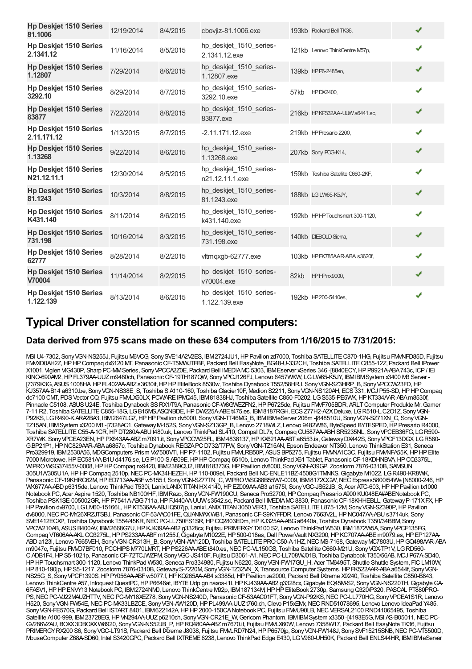| <b>Hp Deskjet 1510 Series</b><br>81.1006     | 12/19/2014 | 8/4/2015 | cbovjiz-81.1006.exe                        |      | 193kb Packard Bell TK36,          | ✔ |
|----------------------------------------------|------------|----------|--------------------------------------------|------|-----------------------------------|---|
| <b>Hp Deskjet 1510 Series</b><br>2.1341.12   | 11/16/2014 | 8/5/2015 | hp_deskjet_1510_series-<br>2.1341.12.exe   |      | 121kb Lenovo ThinkCentre M57p,    | ✔ |
| <b>Hp Deskjet 1510 Series</b><br>1.12807     | 7/29/2014  | 8/6/2015 | hp_deskjet_1510_series-<br>1.12807.exe     |      | 139kb HPP6-2485eo,                | ✔ |
| <b>Hp Deskjet 1510 Series</b><br>3292.10     | 8/29/2014  | 8/7/2015 | hp_deskjet_1510_series-<br>3292.10.exe     | 57kb | HPDX2400,                         | ✔ |
| <b>Hp Deskjet 1510 Series</b><br>83877       | 7/22/2014  | 8/8/2015 | hp_deskjet_1510_series-<br>83877.exe       |      | 216kb HPKP332AA-UUW a6441.sc,     | ✔ |
| <b>Hp Deskjet 1510 Series</b><br>2.11.171.12 | 1/13/2015  | 8/7/2015 | $-2.11.171.12$ .exe                        |      | 219kb HP Presario 2200,           | ✔ |
| <b>Hp Deskjet 1510 Series</b><br>1.13268     | 9/22/2014  | 8/6/2015 | hp_deskjet_1510_series-<br>1.13268.exe     |      | 207kb Sony POG-K14,               | ✔ |
| <b>Hp Deskjet 1510 Series</b><br>N21.12.11.1 | 12/30/2014 | 8/5/2015 | hp deskjet 1510 series-<br>n21.12.11.1.exe |      | 159kb Toshiba Satellite O660-2KF, | ✔ |
| <b>Hp Deskjet 1510 Series</b><br>81.1243     | 10/3/2014  | 8/8/2015 | hp deskjet 1510 series-<br>81.1243.exe     |      | 188kb LGLW65-K5JY,                | ✔ |
| <b>Hp Deskjet 1510 Series</b><br>K431.140    | 8/11/2014  | 8/6/2015 | hp_deskjet_1510_series-<br>k431.140.exe    |      | 192kb HPHPTouchsmart 300-1120,    | ✔ |
| <b>Hp Deskjet 1510 Series</b><br>731.198     | 10/16/2014 | 8/3/2015 | hp_deskjet_1510_series-<br>731.198.exe     |      | 140kb DIEBOLD Sierra,             | ✔ |
| <b>Hp Deskjet 1510 Series</b><br>62777       | 8/28/2014  | 8/2/2015 | vltmgxgb-62777.exe                         |      | 103kb HPFK785AAR-ABA s3620f,      | ✔ |
| <b>Hp Deskjet 1510 Series</b><br>V70004      | 11/14/2014 | 8/2/2015 | hp_deskjet_1510_series-<br>v70004.exe      | 82kb | <b>HPHPnx9000,</b>                | ✔ |
| <b>Hp Deskjet 1510 Series</b><br>1.122.139   | 8/13/2014  | 8/6/2015 | hp deskjet 1510 series-<br>1.122.139.exe   |      | 192kb HP 200-5410es,              |   |

### **Typical Driver constellation for scanned computers:**

#### **Data derived from 975 scans made on these 634 computers from 1/16/2015 to 7/31/2015:**

MSI U4-7302, Sony VGN-NS255J, Fujitsu M6VCG, Sony SVE14A2V2ES, IBM2724JU1, HP Pavilion zd7000, Toshiba SATELLITE C870-1HG, Fujitsu FMMFD85D, Fujitsu FMVXD0AH2Z,HPHPCompaq dx6120 MT, PanasonicCF-T5MWJTFBF, Packard Bell EasyNote\_BG48-U-332CH, Toshiba SATELLITEC855-12Z, Packard Bell IPower X1001, Viglen VIG430P, Sharp PC-MMSeries, SonyVPCCA2Z0E, Packard Bell IMEDIAMC5303, IBMEserver xSeries 346 -[8840ECY,HPP9921A-ABA743c, ICP/ IEi KINO-690AM2, HP FL379AA-UUZ m9480ch, Panasonic CF-19TH187QW, Sony VPCJ126FJ, Lenovo 6457WKW, LG LW65-K5JY, IBM IBM System x3400 M3 Server -[7379K3G, ASUS1008HA,HPFL402AA-ABZs3630it,HPHPEliteBook 8530w, Toshiba Dynabook T552/58HRJ, SonyVGN-SZ3HRP\_B, SonyVPCCW23FD,HP KJ357AA-B14 a6310.be, SonyVGN-NS38E\_S, Toshiba SA110-160, ToshibaGlacier10F, Medion S2211, SonyVGN-NS120AH, ECS331, MCJ P55-SD,HPHPCompaq dc7100 CMT, PDS Vector CQ, Fujitsu FMLX50LX, PCWARE IPMQ45, IBM81838HJ, Toshiba Satellite C850-F0202, LGS535-PE5WK, HP KT334AAR-ABA m8530f, Pinnacle C5108, ASUSU24E, Toshiba Dynabook SSRX1/T9A, PanasonicCF-W8GWEZFN2,HPP6725de, Fujitsu FMVF705BDR, ARLTComputer Produkte Mr.Gamer 7-11 R2, Toshiba SATELLITEC855-18G, LGB15MS.ASQNBDE,HPDW225A-ABEt475.es, IBM8187RGH, ECSZ77H2-A2XDeluxe, LGR510-L.C2O1Z, SonyVGN-P92KS, LGR490-K.ARA2BA3, IBM2647LG7, HPHP Pavilion dv5000, Sony VGN-TT46MG\_B, IBMIBMeServer 206m -[848510U, Sony VGN-SZ71XN\_C, Sony VGN-TZ15AN, IBMSystem x3200 M3 -[7328AC1,GatewayM-152S, SonyVGN-SZ13GP\_B, Lenovo 2718WLZ, Lenovo 9482W86, ByteSpeed BYTESPED,HPPresario R4000, Toshiba SATELLITE C55-A-1CR, HP DT280A-ABU t480.uk, Lenovo ThinkPad SL410, Compal DL7x, Compaq GU587AA-ABH SR5235NL, Sony VPCEB36FG, LG R590-XR7WK, SonyVPCEA23EN,HPPX643AA-ABZm7091.it, SonyVPCCW25FL, IBM4838137,HPKX621AA-ABTa6553.is,GatewayDX442S, SonyVPCF13DGX, LGR580- G.BP21P1, HP NC829AAR-ABA a6857c, Toshiba Dynabook REGZAPC D732/T7FW, Sony VGN-TZ15AN, Epson Endeavor NT350, Lenovo ThinkStation E31, Seneca Pro329919, IBM2530A56, MDGComputers Prism Vx7500VTi, HP P7-1102, Fujitsu FMMLRB50P, ASUS BP5275, Fujitsu FMMNA1C3C, Fujitsu FMMNFA55K, HP HP Elite 7000 Microtowe,HPEC581AA-B1Ud4176.se, LGP100-S.AB09E,HPHPCompaq 6510b, Lenovo ThinkPad X61 Tablet, PanasonicCF-18KDHNBVA,HPCQ3375L, WIPROWSG37455V-0008,HPHPCompaq nx9420, IBM2389QU2, IBM818373G,HPPavilion dv8000, SonyVGN-A39GP, Zoostorm 7876-0310B, SAMSUN 305U1A/305U1A,HPHPCompaq 2510p,NECPC-MK34HEZEH,HP110-009el, Packard Bell NC-ENLE11BZ-4508G1TMNKS,Gigabyte M1022, LGR490-KR8WK, Panasonic CF-19KHRC62M, HP ED713AA-ABF w5155.f, Sony VGN-SZ77TN C, WIPRO WSG68B55W7-0009, IBM8172QGW, NEC Express5800/54We [N8000-246, HP WK677AA-ABDp6315de, Lenovo ThinkPad T530i, LanixLANIXTITANHX4140,HPEZ009AA-AB3 a1575l, SonyVGC-JS52JB\_S, Acer ATC-603,HPHPPavilion tx1000 Notebook PC, Acer Aspire 1520, Toshiba NB100/HF, IBM Razo, Sony VGN-FW190CU, Seneca Pro52700, HP Compaq Presario A900 KU048EA#ABENotebook PC Toshiba PSK1SE-005002GR,HPP7541A-ABG711a,HPFJ440AA-UUWs3542.sc, Packard Bell IMEDIAMC8830, PanasonicCF-18KHHEBLL,GatewayP-171XFX,HP HPPavilion dv9700, LGLM60-15166L,HPKT536AA-ABJ IQ507jp, LanixLANIXTITAN3050 VER3, Toshiba SATELLITEL875-12M, SonyVGN-SZ390P,HPPavilion dv8000, NEC PC-MY26XRZJTSBJ, Panasonic CF-53AAC01FE, QUANMAXWB1, Panasonic CF-S9KYFFDR, Lenovo 7663V2L, HP NC047AA-ABU s3714uk, Sony SVE1412ECXP, Toshiba Dynabook T554/45KR, NEC PC-LL750FS1SR, HP CQ2803EDm, HP KJ325AA-ABG a6440a, Toshiba Dynabook T350/34BBM, Sony VPCW210AB, ASUSB400AV, IBM2668G7U,HPKJ439AA-AB2 g3328cx, Fujitsu PRIMERGYTX100 S2, Lenovo ThinkPad W530, IBM1872W5A, SonyVPCF135FG, Compaq VT606AA-AKL CQ3275L, HP PS233AA-ABF m1255.f, Gigabyte M1022E, HP 500-018es, Dell PowerVault NX3200, HP KC707AA-ABE m9079.es, HP EP127AA-ABDa123l, Lenovo 7665VEH, SonyVGN-CR313H\_B, SonyVGN-AW120D, Toshiba SATELLITEPROC50-A-1HZ,NEC MS-7168,GatewayMC7803U,HPGQ498AAR-ABA m9047c, Fujitsu FMD7BF010, PCCHIPS M770LMRT, HP PS226AA-ABEt840.es, NEC PC-VL150GS, Toshiba Satellite C660-M21U, Sony VGX-TP1V, LGRD560-C.ADB1F4,HPS5-1021p, PanasonicCF-72TCJWZPM, SonyVGC-JS410F, Fujitsu D3061-A1,NECPC-LL708WJ01B, Toshiba Dynabook T350/56AB, MCJ P67A-SD40, HPHPTouchsmart 300-1120, Lenovo ThinkPad W530, Seneca Pro334980, Fujitsu N6220, SonyVGN-FW17GU\_H, Acer TM6495T, Shuttle Shuttle System, FICLM10W, HP810-190jp, HPS5-1217, Zoostorm 7876-0310B, Gateway S-7220M, Sony VGN-TZ32VN\_X, Transource Computer Systems, HPFK522AAR-ABA a6544f, Sony VGN-NS25G S, Sony VPCF1390S, HP PY056AA-ABF w5077.f, HP KQ265AA-AB4 s3385d, HP Pavilion ze2000, Packard Bell IXtreme X9240, Toshiba Satellite C850-B843, Lenovo ThinkCentre A57, Infoquest QuestPC, HP P6646at, IBYTE Udp gn naxos-i1l, HP KJ439AA-AB2 g3328cx, Gigabyte EQ45M-S2, Sony VGN-NS220TH, Gigabyte GA-6FASV1,HPHPENVY13 Notebook PC, IBM2724NM0, Lenovo ThinkCentre M92p, IBM187134M,HPHPEliteBook 2730p, SamsungQ320/P320, PASCAL PT880PRO-PS,NECPC-VJ22MAUZHTTV,NECPC-MY18XEZ78, SonyVGN-NS240D, PanasonicCF-53AAC01FT, SonyVGN-P92KS,NECPC-LL770HG, SonyVPCEA1S1R, Lenovo H520, Sony VGN-FW54E, NEC PC-MK33LBZCE, Sony VGN-AW120D, HP PL499AA-UUZt760.ch, Clevo P15xEMx, NEC RND51078695, Lenovo Lenovo IdeaPad Y485, Sony VGN-FE570G, Packard Bell ISTART 8401, IBM622142A, HP HP 2000-150CA Notebook PC, Fujitsu FMVU90LB, NEC VERSAL2100 RND41065495, Toshiba Satellite A100-999, IBM23728EG, HP VN294AA-UUZ p6210ch, Sony VGN-CR21E\_W, Gericom Phantom, IBMIBMSystem x3350-[4193E5G, MSI AS-B05011, NEC PC-GV286VZAU, BOXX3DBOXXW8920, Sony VGN-NS52JB\_P, HP RQ480AA-ABZ m7670.it, Fujitsu FMLX60W, Lenovo 7358W17, Packard Bell EasyNote TK36, Fujitsu PRIMERGY RX200 S6, Sony VGC-LT91S, Packard Bell IXtreme J8038, Fujitsu FMALRD7N24, HP P6570jp, Sony VGN-FW148J, Sony SVF15215SNB, NEC PC-VT5500D, MouseComputer Z68A-SD60, Intel S3420GPC, Packard Bell IXTREME6238, Lenovo ThinkPad Edge E430, LGV960-UH50K, Packard Bell ENLS44HR, IBMIBMeServer